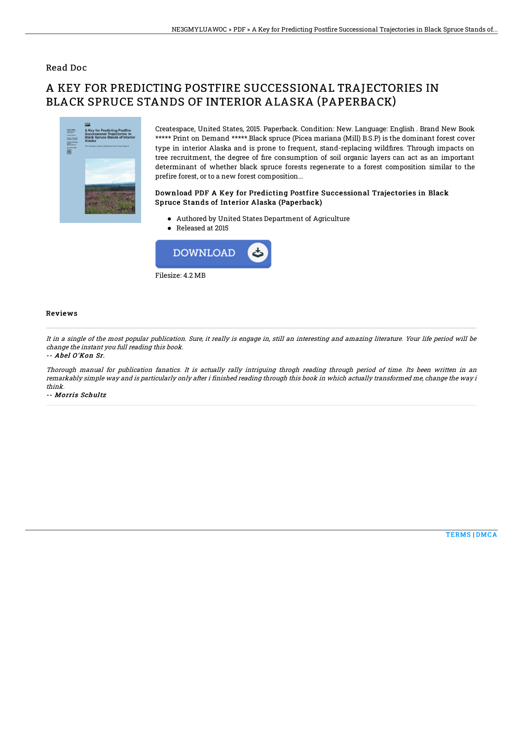### Read Doc

# A KEY FOR PREDICTING POSTFIRE SUCCESSIONAL TRAJECTORIES IN BLACK SPRUCE STANDS OF INTERIOR ALASKA (PAPERBACK)



Createspace, United States, 2015. Paperback. Condition: New. Language: English . Brand New Book \*\*\*\*\* Print on Demand \*\*\*\*\*.Black spruce (Picea mariana (Mill) B.S.P) is the dominant forest cover type in interior Alaska and is prone to frequent, stand-replacing wildfires. Through impacts on tree recruitment, the degree of fire consumption of soil organic layers can act as an important determinant of whether black spruce forests regenerate to a forest composition similar to the prefire forest, or to a new forest composition...

#### Download PDF A Key for Predicting Postfire Successional Trajectories in Black Spruce Stands of Interior Alaska (Paperback)

- Authored by United States Department of Agriculture
- Released at 2015



#### Reviews

It in <sup>a</sup> single of the most popular publication. Sure, it really is engage in, still an interesting and amazing literature. Your life period will be change the instant you full reading this book.

#### -- Abel O'Kon Sr.

Thorough manual for publication fanatics. It is actually rally intriguing throgh reading through period of time. Its been written in an remarkably simple way and is particularly only after i finished reading through this book in which actually transformed me, change the way i think.

-- Morris Schultz